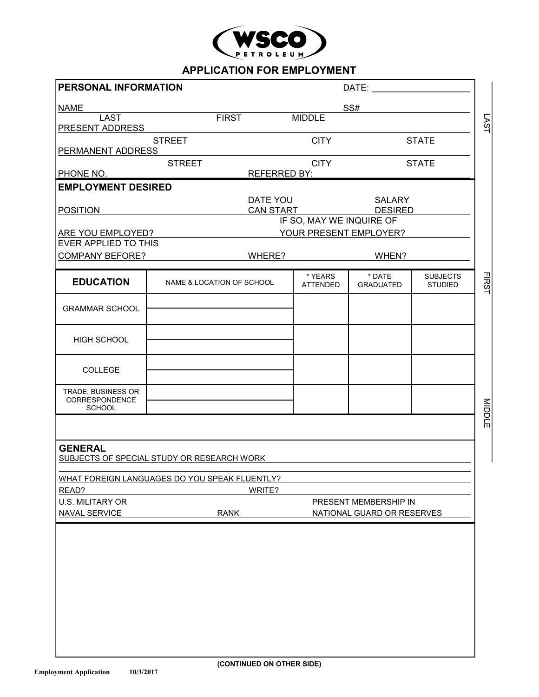

## **APPLICATION FOR EMPLOYMENT**

| PERSONAL INFORMATION       |                                                                                         |                                                                                                                                                    | DATE:                                                                               |                                                         |  |  |  |  |
|----------------------------|-----------------------------------------------------------------------------------------|----------------------------------------------------------------------------------------------------------------------------------------------------|-------------------------------------------------------------------------------------|---------------------------------------------------------|--|--|--|--|
| <b>NAME</b>                |                                                                                         |                                                                                                                                                    |                                                                                     |                                                         |  |  |  |  |
|                            |                                                                                         |                                                                                                                                                    |                                                                                     |                                                         |  |  |  |  |
|                            |                                                                                         |                                                                                                                                                    |                                                                                     | <b>STATE</b>                                            |  |  |  |  |
| <b>PERMANENT ADDRESS</b>   |                                                                                         |                                                                                                                                                    |                                                                                     |                                                         |  |  |  |  |
| <b>STREET</b><br>PHONE NO. |                                                                                         | <b>CITY</b>                                                                                                                                        |                                                                                     | <b>STATE</b>                                            |  |  |  |  |
|                            |                                                                                         |                                                                                                                                                    |                                                                                     |                                                         |  |  |  |  |
|                            |                                                                                         |                                                                                                                                                    |                                                                                     |                                                         |  |  |  |  |
|                            |                                                                                         |                                                                                                                                                    | <b>DESIRED</b>                                                                      |                                                         |  |  |  |  |
|                            |                                                                                         | IF SO, MAY WE INQUIRE OF                                                                                                                           |                                                                                     |                                                         |  |  |  |  |
|                            |                                                                                         |                                                                                                                                                    |                                                                                     |                                                         |  |  |  |  |
|                            |                                                                                         |                                                                                                                                                    |                                                                                     |                                                         |  |  |  |  |
|                            |                                                                                         |                                                                                                                                                    |                                                                                     |                                                         |  |  |  |  |
|                            |                                                                                         | * YEARS<br><b>ATTENDED</b>                                                                                                                         | * DATE<br><b>GRADUATED</b>                                                          | <b>SUBJECTS</b><br><b>STUDIED</b>                       |  |  |  |  |
|                            |                                                                                         |                                                                                                                                                    |                                                                                     |                                                         |  |  |  |  |
|                            |                                                                                         |                                                                                                                                                    |                                                                                     |                                                         |  |  |  |  |
|                            |                                                                                         |                                                                                                                                                    |                                                                                     |                                                         |  |  |  |  |
|                            |                                                                                         |                                                                                                                                                    |                                                                                     |                                                         |  |  |  |  |
|                            |                                                                                         |                                                                                                                                                    |                                                                                     |                                                         |  |  |  |  |
|                            |                                                                                         |                                                                                                                                                    |                                                                                     |                                                         |  |  |  |  |
|                            | WRITE?                                                                                  |                                                                                                                                                    |                                                                                     |                                                         |  |  |  |  |
| <b>RANK</b>                |                                                                                         | PRESENT MEMBERSHIP IN<br>NATIONAL GUARD OR RESERVES                                                                                                |                                                                                     |                                                         |  |  |  |  |
|                            | <b>STREET</b><br><b>EMPLOYMENT DESIRED</b><br>ARE YOU EMPLOYED?<br>EVER APPLIED TO THIS | <b>FIRST</b><br>WHERE?<br>NAME & LOCATION OF SCHOOL<br>SUBJECTS OF SPECIAL STUDY OR RESEARCH WORK<br>WHAT FOREIGN LANGUAGES DO YOU SPEAK FLUENTLY? | <b>MIDDLE</b><br><b>CITY</b><br><b>REFERRED BY:</b><br>DATE YOU<br><b>CAN START</b> | SS#<br><b>SALARY</b><br>YOUR PRESENT EMPLOYER?<br>WHEN? |  |  |  |  |